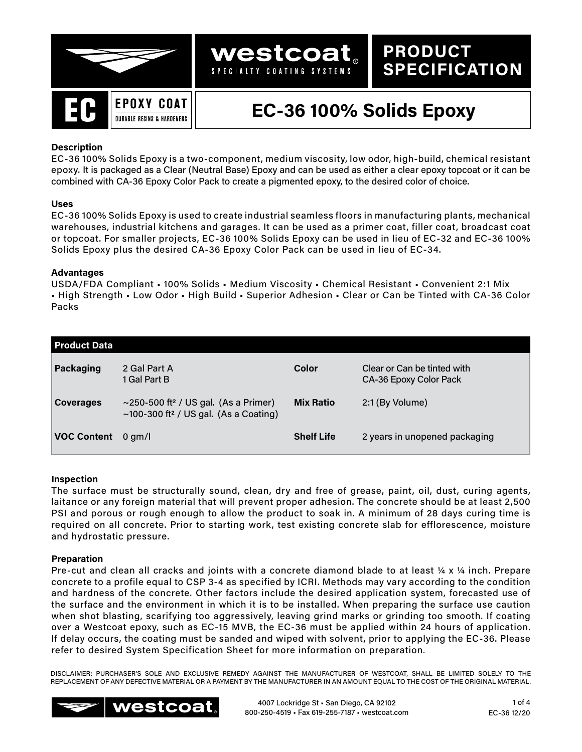

**PRODUCT**

**SPECIFICATION**

## **Description**

EC-36 100% Solids Epoxy is a two-component, medium viscosity, low odor, high-build, chemical resistant epoxy. It is packaged as a Clear (Neutral Base) Epoxy and can be used as either a clear epoxy topcoat or it can be combined with CA-36 Epoxy Color Pack to create a pigmented epoxy, to the desired color of choice.

**westcoat** SPECIALTY COATING SYSTEMS

## **Uses**

EC-36 100% Solids Epoxy is used to create industrial seamless floors in manufacturing plants, mechanical warehouses, industrial kitchens and garages. It can be used as a primer coat, filler coat, broadcast coat or topcoat. For smaller projects, EC-36 100% Solids Epoxy can be used in lieu of EC-32 and EC-36 100% Solids Epoxy plus the desired CA-36 Epoxy Color Pack can be used in lieu of EC-34.

## **Advantages**

USDA/FDA Compliant • 100% Solids • Medium Viscosity • Chemical Resistant • Convenient 2:1 Mix • High Strength • Low Odor • High Build • Superior Adhesion • Clear or Can be Tinted with CA-36 Color Packs

| <b>Product Data</b> |                                                                                                       |                   |                                                       |
|---------------------|-------------------------------------------------------------------------------------------------------|-------------------|-------------------------------------------------------|
| Packaging           | 2 Gal Part A<br>1 Gal Part B                                                                          | Color             | Clear or Can be tinted with<br>CA-36 Epoxy Color Pack |
| <b>Coverages</b>    | ~250-500 ft <sup>2</sup> / US gal. (As a Primer)<br>~100-300 ft <sup>2</sup> / US gal. (As a Coating) | <b>Mix Ratio</b>  | 2:1 (By Volume)                                       |
| <b>VOC Content</b>  | $0$ qm/l                                                                                              | <b>Shelf Life</b> | 2 years in unopened packaging                         |

## **Inspection**

The surface must be structurally sound, clean, dry and free of grease, paint, oil, dust, curing agents, laitance or any foreign material that will prevent proper adhesion. The concrete should be at least 2,500 PSI and porous or rough enough to allow the product to soak in. A minimum of 28 days curing time is required on all concrete. Prior to starting work, test existing concrete slab for efflorescence, moisture and hydrostatic pressure.

## **Preparation**

Pre-cut and clean all cracks and joints with a concrete diamond blade to at least ¼ x ¼ inch. Prepare concrete to a profile equal to CSP 3-4 as specified by ICRI. Methods may vary according to the condition and hardness of the concrete. Other factors include the desired application system, forecasted use of the surface and the environment in which it is to be installed. When preparing the surface use caution when shot blasting, scarifying too aggressively, leaving grind marks or grinding too smooth. If coating over a Westcoat epoxy, such as EC-15 MVB, the EC-36 must be applied within 24 hours of application. If delay occurs, the coating must be sanded and wiped with solvent, prior to applying the EC-36. Please refer to desired System Specification Sheet for more information on preparation.

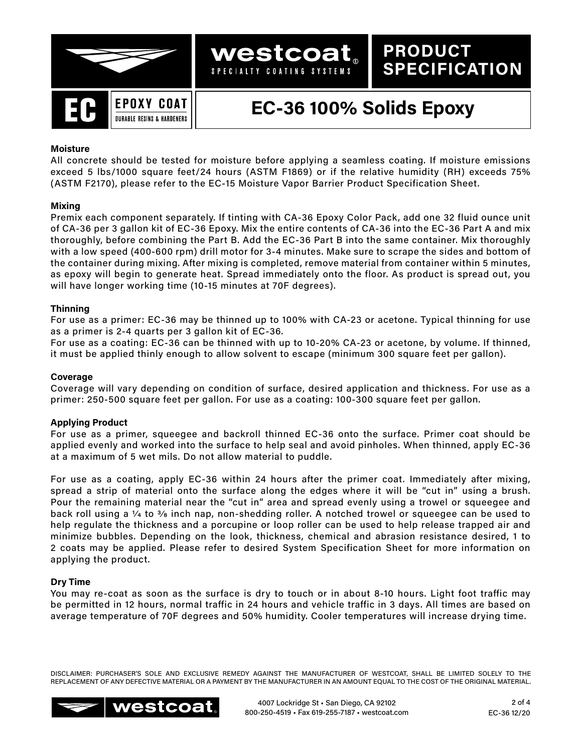

**PRODUCT**

**SPECIFICATION**

## **Moisture**

All concrete should be tested for moisture before applying a seamless coating. If moisture emissions exceed 5 lbs/1000 square feet/24 hours (ASTM F1869) or if the relative humidity (RH) exceeds 75% (ASTM F2170), please refer to the EC-15 Moisture Vapor Barrier Product Specification Sheet.

westcoat SPECIALTY COATING SYSTEMS

#### **Mixing**

Premix each component separately. If tinting with CA-36 Epoxy Color Pack, add one 32 fluid ounce unit of CA-36 per 3 gallon kit of EC-36 Epoxy. Mix the entire contents of CA-36 into the EC-36 Part A and mix thoroughly, before combining the Part B. Add the EC-36 Part B into the same container. Mix thoroughly with a low speed (400-600 rpm) drill motor for 3-4 minutes. Make sure to scrape the sides and bottom of the container during mixing. After mixing is completed, remove material from container within 5 minutes, as epoxy will begin to generate heat. Spread immediately onto the floor. As product is spread out, you will have longer working time (10-15 minutes at 70F degrees).

#### **Thinning**

For use as a primer: EC-36 may be thinned up to 100% with CA-23 or acetone. Typical thinning for use as a primer is 2-4 quarts per 3 gallon kit of EC-36.

For use as a coating: EC-36 can be thinned with up to 10-20% CA-23 or acetone, by volume. If thinned, it must be applied thinly enough to allow solvent to escape (minimum 300 square feet per gallon).

### **Coverage**

Coverage will vary depending on condition of surface, desired application and thickness. For use as a primer: 250-500 square feet per gallon. For use as a coating: 100-300 square feet per gallon.

## **Applying Product**

For use as a primer, squeegee and backroll thinned EC-36 onto the surface. Primer coat should be applied evenly and worked into the surface to help seal and avoid pinholes. When thinned, apply EC-36 at a maximum of 5 wet mils. Do not allow material to puddle.

For use as a coating, apply EC-36 within 24 hours after the primer coat. Immediately after mixing, spread a strip of material onto the surface along the edges where it will be "cut in" using a brush. Pour the remaining material near the "cut in" area and spread evenly using a trowel or squeegee and back roll using a  $\frac{1}{4}$  to  $\frac{3}{6}$  inch nap, non-shedding roller. A notched trowel or squeegee can be used to help regulate the thickness and a porcupine or loop roller can be used to help release trapped air and minimize bubbles. Depending on the look, thickness, chemical and abrasion resistance desired, 1 to 2 coats may be applied. Please refer to desired System Specification Sheet for more information on applying the product.

#### **Dry Time**

You may re-coat as soon as the surface is dry to touch or in about 8-10 hours. Light foot traffic may be permitted in 12 hours, normal traffic in 24 hours and vehicle traffic in 3 days. All times are based on average temperature of 70F degrees and 50% humidity. Cooler temperatures will increase drying time.

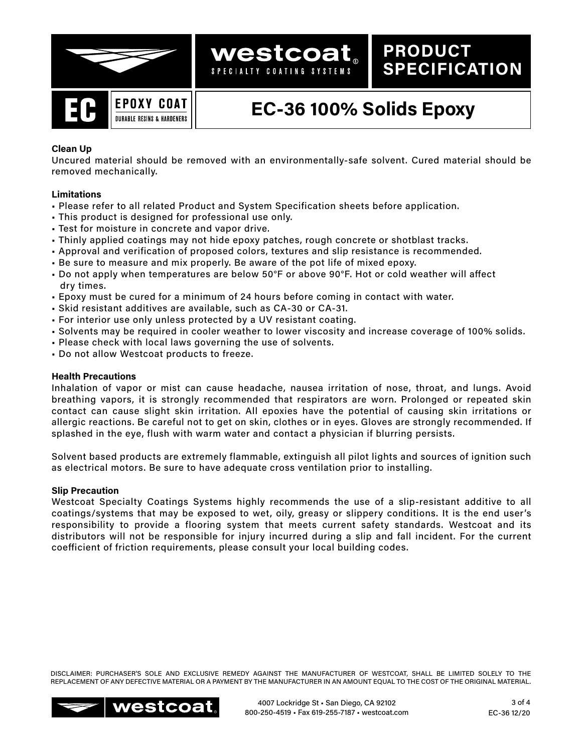



## **Clean Up**

Uncured material should be removed with an environmentally-safe solvent. Cured material should be removed mechanically.

**westcoat** SPECIALTY COATING SYSTEMS

## **Limitations**

- Please refer to all related Product and System Specification sheets before application.
- This product is designed for professional use only.
- Test for moisture in concrete and vapor drive.
- Thinly applied coatings may not hide epoxy patches, rough concrete or shotblast tracks.
- Approval and verification of proposed colors, textures and slip resistance is recommended.
- Be sure to measure and mix properly. Be aware of the pot life of mixed epoxy.
- Do not apply when temperatures are below 50°F or above 90°F. Hot or cold weather will affect dry times.
- Epoxy must be cured for a minimum of 24 hours before coming in contact with water.
- Skid resistant additives are available, such as CA-30 or CA-31.
- For interior use only unless protected by a UV resistant coating.
- Solvents may be required in cooler weather to lower viscosity and increase coverage of 100% solids.
- Please check with local laws governing the use of solvents.
- Do not allow Westcoat products to freeze.

### **Health Precautions**

Inhalation of vapor or mist can cause headache, nausea irritation of nose, throat, and lungs. Avoid breathing vapors, it is strongly recommended that respirators are worn. Prolonged or repeated skin contact can cause slight skin irritation. All epoxies have the potential of causing skin irritations or allergic reactions. Be careful not to get on skin, clothes or in eyes. Gloves are strongly recommended. If splashed in the eye, flush with warm water and contact a physician if blurring persists.

Solvent based products are extremely flammable, extinguish all pilot lights and sources of ignition such as electrical motors. Be sure to have adequate cross ventilation prior to installing.

#### **Slip Precaution**

Westcoat Specialty Coatings Systems highly recommends the use of a slip-resistant additive to all coatings/systems that may be exposed to wet, oily, greasy or slippery conditions. It is the end user's responsibility to provide a flooring system that meets current safety standards. Westcoat and its distributors will not be responsible for injury incurred during a slip and fall incident. For the current coefficient of friction requirements, please consult your local building codes.